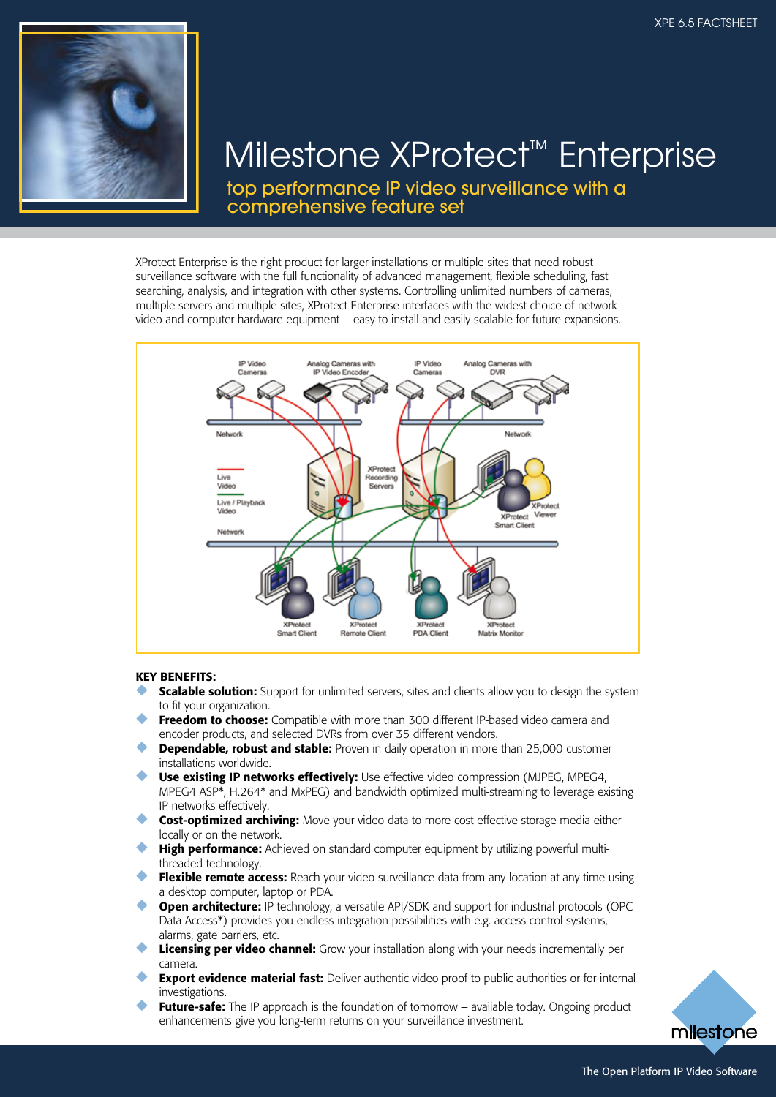

# Milestone XProtect™ Enterprise

top performance IP video surveillance with a comprehensive feature set

XProtect Enterprise is the right product for larger installations or multiple sites that need robust surveillance software with the full functionality of advanced management, flexible scheduling, fast searching, analysis, and integration with other systems. Controlling unlimited numbers of cameras, multiple servers and multiple sites, XProtect Enterprise interfaces with the widest choice of network video and computer hardware equipment – easy to install and easily scalable for future expansions.



#### KEY BENEFITS:

- **Scalable solution:** Support for unlimited servers, sites and clients allow you to design the system to fit your organization.
- Freedom to choose: Compatible with more than 300 different IP-based video camera and encoder products, and selected DVRs from over 35 different vendors.
- **Dependable, robust and stable:** Proven in daily operation in more than 25,000 customer installations worldwide.
- Use existing IP networks effectively: Use effective video compression (MJPEG, MPEG4, MPEG4 ASP\*, H.264\* and MxPEG) and bandwidth optimized multi-streaming to leverage existing IP networks effectively.
- Cost-optimized archiving: Move your video data to more cost-effective storage media either locally or on the network.
- **High performance:** Achieved on standard computer equipment by utilizing powerful multithreaded technology.
- ◆ Flexible remote access: Reach your video surveillance data from any location at any time using a desktop computer, laptop or PDA.
- **Open architecture:** IP technology, a versatile API/SDK and support for industrial protocols (OPC Data Access\*) provides you endless integration possibilities with e.g. access control systems, alarms, gate barriers, etc.
- **Licensing per video channel:** Grow your installation along with your needs incrementally per camera.
- **Export evidence material fast:** Deliver authentic video proof to public authorities or for internal investigations.
- **Future-safe:** The IP approach is the foundation of tomorrow available today. Ongoing product enhancements give you long-term returns on your surveillance investment.

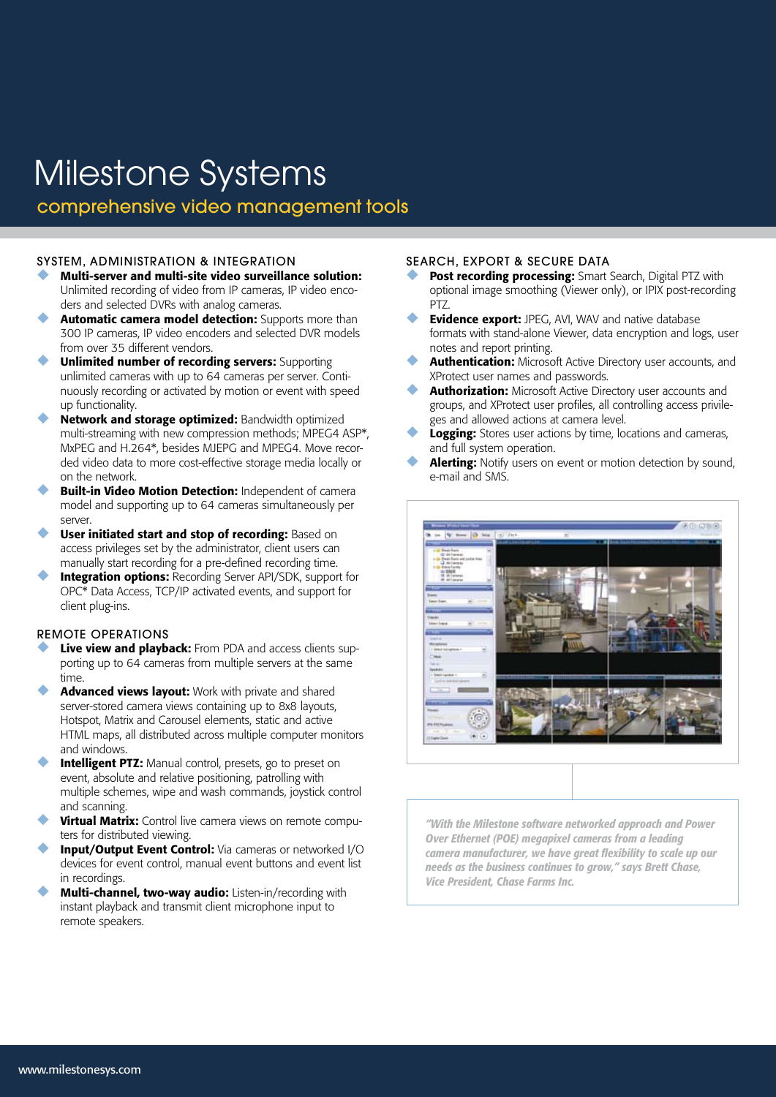# Milestone Systems

comprehensive video management tools

### SYSTEM, ADMINISTRATION & INTEGRATION

- Multi-server and multi-site video surveillance solution: Unlimited recording of video from IP cameras, IP video encoders and selected DVRs with analog cameras.
- Automatic camera model detection: Supports more than 300 IP cameras, IP video encoders and selected DVR models from over 35 different vendors.
- **Unlimited number of recording servers: Supporting** unlimited cameras with up to 64 cameras per server. Continuously recording or activated by motion or event with speed up functionality.
- Network and storage optimized: Bandwidth optimized multi-streaming with new compression methods; MPEG4 ASP\*, MxPEG and H.264\*, besides MJEPG and MPEG4. Move recorded video data to more cost-effective storage media locally or on the network.
- **Built-in Video Motion Detection: Independent of camera** model and supporting up to 64 cameras simultaneously per server.
- User initiated start and stop of recording: Based on access privileges set by the administrator, client users can manually start recording for a pre-defined recording time.
- **Integration options:** Recording Server API/SDK, support for OPC\* Data Access, TCP/IP activated events, and support for client plug-ins.

## REMOTE OPERATIONS

- Live view and playback: From PDA and access clients supporting up to 64 cameras from multiple servers at the same time.
- Advanced views layout: Work with private and shared server-stored camera views containing up to 8x8 layouts, Hotspot, Matrix and Carousel elements, static and active HTML maps, all distributed across multiple computer monitors and windows.
- **Intelligent PTZ:** Manual control, presets, go to preset on event, absolute and relative positioning, patrolling with multiple schemes, wipe and wash commands, joystick control and scanning.
- Virtual Matrix: Control live camera views on remote computers for distributed viewing.
- **Input/Output Event Control:** Via cameras or networked I/O devices for event control, manual event buttons and event list in recordings.
- **Multi-channel, two-way audio:** Listen-in/recording with instant playback and transmit client microphone input to remote speakers.

#### SEARCH, EXPORT & SECURE DATA

- Post recording processing: Smart Search, Digital PTZ with optional image smoothing (Viewer only), or IPIX post-recording PTZ.
- **Evidence export:** JPEG, AVI, WAV and native database formats with stand-alone Viewer, data encryption and logs, user notes and report printing.
- **Authentication:** Microsoft Active Directory user accounts, and XProtect user names and passwords.
- Authorization: Microsoft Active Directory user accounts and groups, and XProtect user profiles, all controlling access privileges and allowed actions at camera level.
- Logging: Stores user actions by time, locations and cameras, and full system operation.
- Alerting: Notify users on event or motion detection by sound, e-mail and SMS.



*"With the Milestone software networked approach and Power Over Ethernet (POE) megapixel cameras from a leading camera manufacturer, we have great flexibility to scale up our needs as the business continues to grow," says Brett Chase, Vice President, Chase Farms Inc.*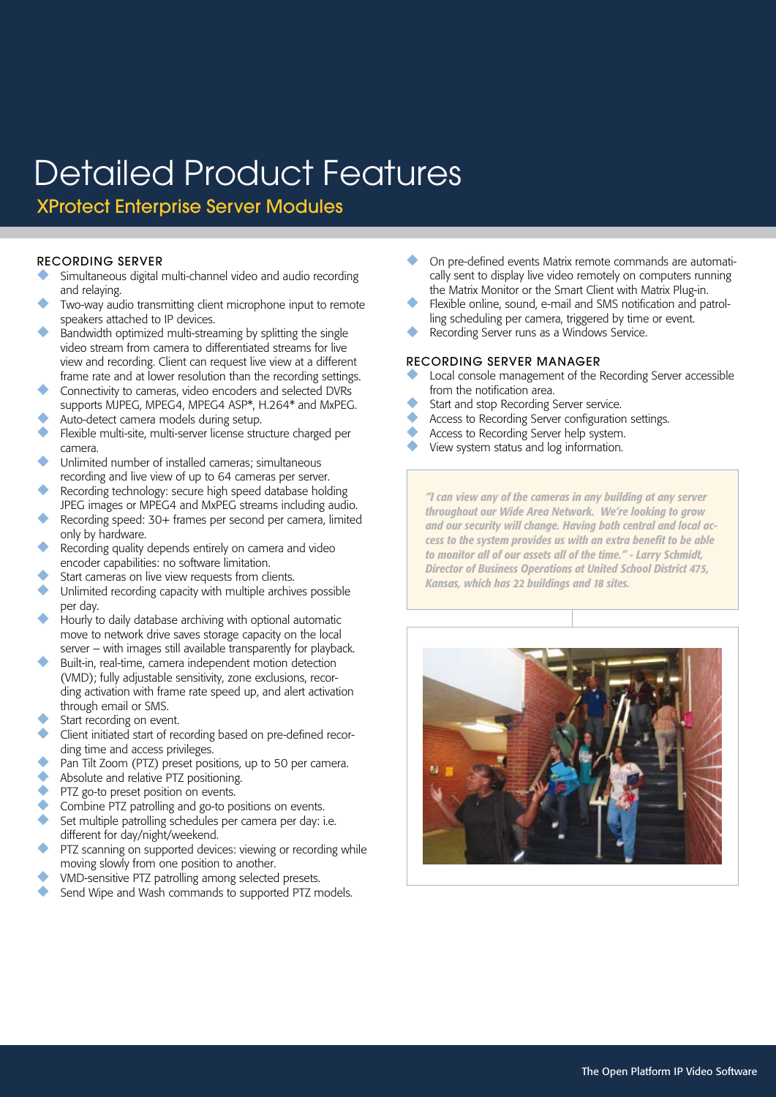XProtect Enterprise Server Modules

#### RECORDING SERVER

- Simultaneous digital multi-channel video and audio recording and relaying.
- Two-way audio transmitting client microphone input to remote speakers attached to IP devices.
- Bandwidth optimized multi-streaming by splitting the single video stream from camera to differentiated streams for live view and recording. Client can request live view at a different frame rate and at lower resolution than the recording settings.
- Connectivity to cameras, video encoders and selected DVRs supports MJPEG, MPEG4, MPEG4 ASP\*, H.264\* and MxPEG.
- Auto-detect camera models during setup.
- Flexible multi-site, multi-server license structure charged per camera.
- Unlimited number of installed cameras; simultaneous recording and live view of up to 64 cameras per server.
- Recording technology: secure high speed database holding JPEG images or MPEG4 and MxPEG streams including audio.
- Recording speed: 30+ frames per second per camera, limited only by hardware.
- Recording quality depends entirely on camera and video encoder capabilities: no software limitation.
- Start cameras on live view requests from clients.
- Unlimited recording capacity with multiple archives possible per day.
- Hourly to daily database archiving with optional automatic move to network drive saves storage capacity on the local server – with images still available transparently for playback.
- Built-in, real-time, camera independent motion detection (VMD); fully adjustable sensitivity, zone exclusions, recording activation with frame rate speed up, and alert activation through email or SMS.
- Start recording on event.
- Client initiated start of recording based on pre-defined recording time and access privileges.
- Pan Tilt Zoom (PTZ) preset positions, up to 50 per camera.
- Absolute and relative PTZ positioning.
- PTZ go-to preset position on events.
- Combine PTZ patrolling and go-to positions on events.
- Set multiple patrolling schedules per camera per day: i.e. different for day/night/weekend.
- PTZ scanning on supported devices: viewing or recording while moving slowly from one position to another.
- VMD-sensitive PTZ patrolling among selected presets.
- Send Wipe and Wash commands to supported PTZ models.
- On pre-defined events Matrix remote commands are automatically sent to display live video remotely on computers running the Matrix Monitor or the Smart Client with Matrix Plug-in.
- Flexible online, sound, e-mail and SMS notification and patrolling scheduling per camera, triggered by time or event.
- Recording Server runs as a Windows Service.

## RECORDING SERVER MANAGER

- Local console management of the Recording Server accessible from the notification area.
- Start and stop Recording Server service.
- Access to Recording Server configuration settings.
- Access to Recording Server help system.
- View system status and log information.

*"I can view any of the cameras in any building at any server throughout our Wide Area Network. We're looking to grow and our security will change. Having both central and local access to the system provides us with an extra benefit to be able to monitor all of our assets all of the time." - Larry Schmidt, Director of Business Operations at United School District 475, Kansas, which has 22 buildings and 18 sites.*

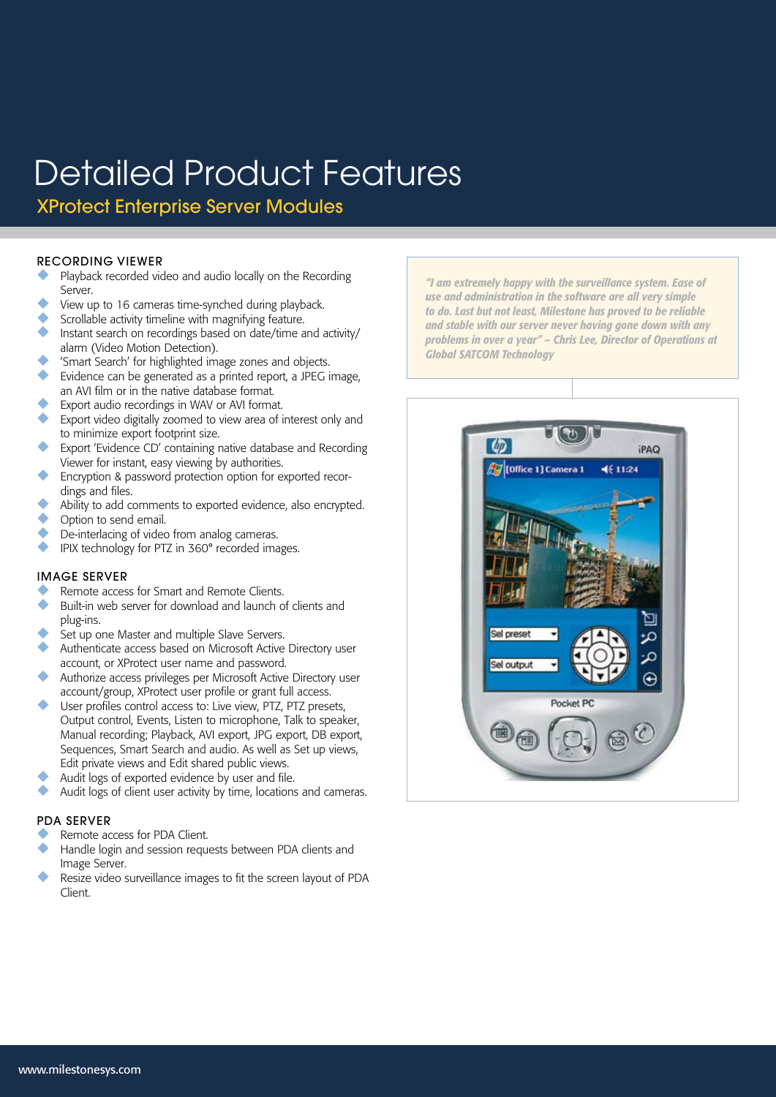XProtect Enterprise Server Modules

#### RECORDING VIEWER

- Playback recorded video and audio locally on the Recording Server.
- View up to 16 cameras time-synched during playback.
- Scrollable activity timeline with magnifying feature.
- Instant search on recordings based on date/time and activity/ alarm (Video Motion Detection).
- 'Smart Search' for highlighted image zones and objects.
- Evidence can be generated as a printed report, a JPEG image, an AVI film or in the native database format.
- Export audio recordings in WAV or AVI format.
- Export video digitally zoomed to view area of interest only and to minimize export footprint size.
- Export 'Evidence CD' containing native database and Recording Viewer for instant, easy viewing by authorities.
- Encryption & password protection option for exported recordings and files.
- ◆ Ability to add comments to exported evidence, also encrypted.<br>△ Option to send amail
- ◆ Option to send email.
- De-interlacing of video from analog cameras.
- ◆ IPIX technology for PTZ in 360° recorded images.

# IMAGE SERVER

- Remote access for Smart and Remote Clients.
- Built-in web server for download and launch of clients and plug-ins.
- Set up one Master and multiple Slave Servers.
- Authenticate access based on Microsoft Active Directory user account, or XProtect user name and password.
- Authorize access privileges per Microsoft Active Directory user account/group, XProtect user profile or grant full access.
- User profiles control access to: Live view, PTZ, PTZ presets, Output control, Events, Listen to microphone, Talk to speaker, Manual recording; Playback, AVI export, JPG export, DB export, Sequences, Smart Search and audio. As well as Set up views, Edit private views and Edit shared public views.
- Audit logs of exported evidence by user and file.
- Audit logs of client user activity by time, locations and cameras.

#### PDA SERVER

- Remote access for PDA Client.
- Handle login and session requests between PDA clients and Image Server.
- Resize video surveillance images to fit the screen layout of PDA Client.

*"I am extremely happy with the surveillance system. Ease of use and administration in the software are all very simple to do. Last but not least, Milestone has proved to be reliable and stable with our server never having gone down with any problems in over a year" – Chris Lee, Director of Operations at Global SATCOM Technology*

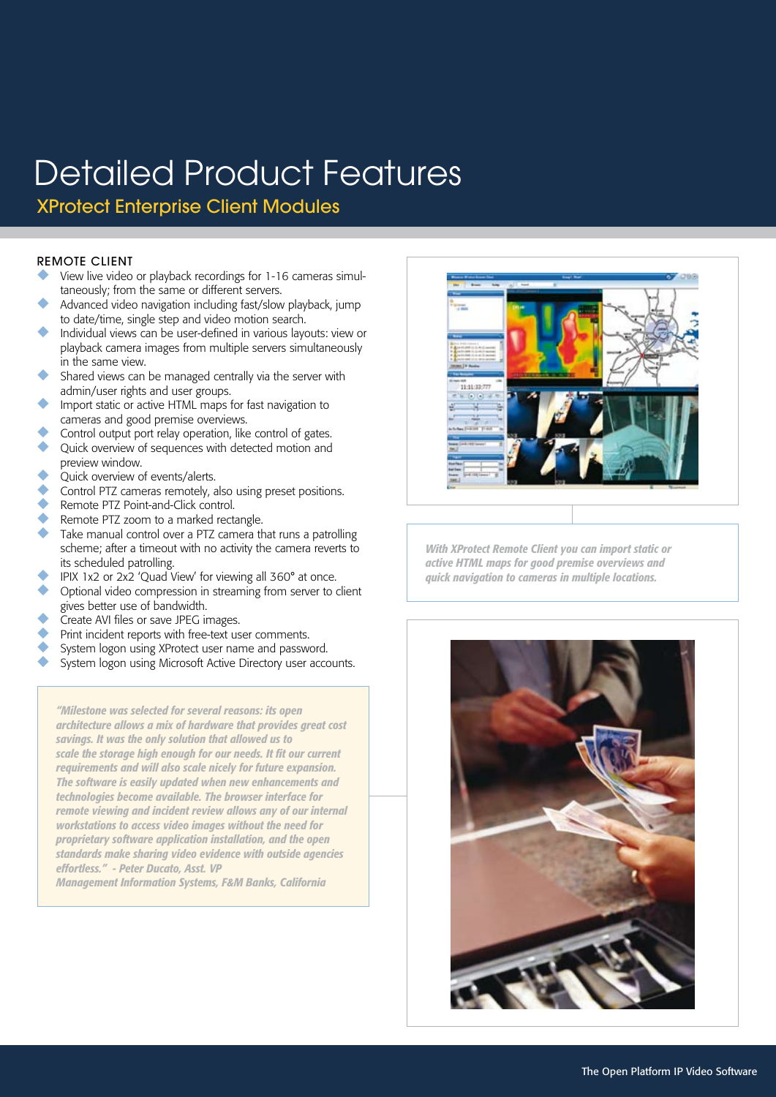XProtect Enterprise Client Modules

## REMOTE CLIENT

- View live video or playback recordings for 1-16 cameras simultaneously; from the same or different servers.
- Advanced video navigation including fast/slow playback, jump to date/time, single step and video motion search.
- Individual views can be user-defined in various layouts: view or playback camera images from multiple servers simultaneously in the same view.
- Shared views can be managed centrally via the server with admin/user rights and user groups.
- Import static or active HTML maps for fast navigation to cameras and good premise overviews.
- Control output port relay operation, like control of gates. Quick overview of sequences with detected motion and preview window.
- Quick overview of events/alerts.
- ◆ Control PTZ cameras remotely, also using preset positions.<br>Remote PTZ Point-and-Click control
- ◆ Remote PTZ Point-and-Click control.
- ◆ Remote PTZ zoom to a marked rectangle.<br>→ Take manual control over a PTZ camera th
- Take manual control over a PTZ camera that runs a patrolling scheme; after a timeout with no activity the camera reverts to its scheduled patrolling.
- IPIX 1x2 or 2x2 'Quad View' for viewing all 360° at once.
- Optional video compression in streaming from server to client gives better use of bandwidth.
- Create AVI files or save JPEG images.
- Print incident reports with free-text user comments.
- System logon using XProtect user name and password.
- System logon using Microsoft Active Directory user accounts.

*"Milestone was selected for several reasons: its open architecture allows a mix of hardware that provides great cost savings. It was the only solution that allowed us to scale the storage high enough for our needs. It fit our current requirements and will also scale nicely for future expansion. The software is easily updated when new enhancements and technologies become available. The browser interface for remote viewing and incident review allows any of our internal workstations to access video images without the need for proprietary software application installation, and the open standards make sharing video evidence with outside agencies effortless." - Peter Ducato, Asst. VP* 

*Management Information Systems, F&M Banks, California*



*With XProtect Remote Client you can import static or active HTML maps for good premise overviews and quick navigation to cameras in multiple locations.*

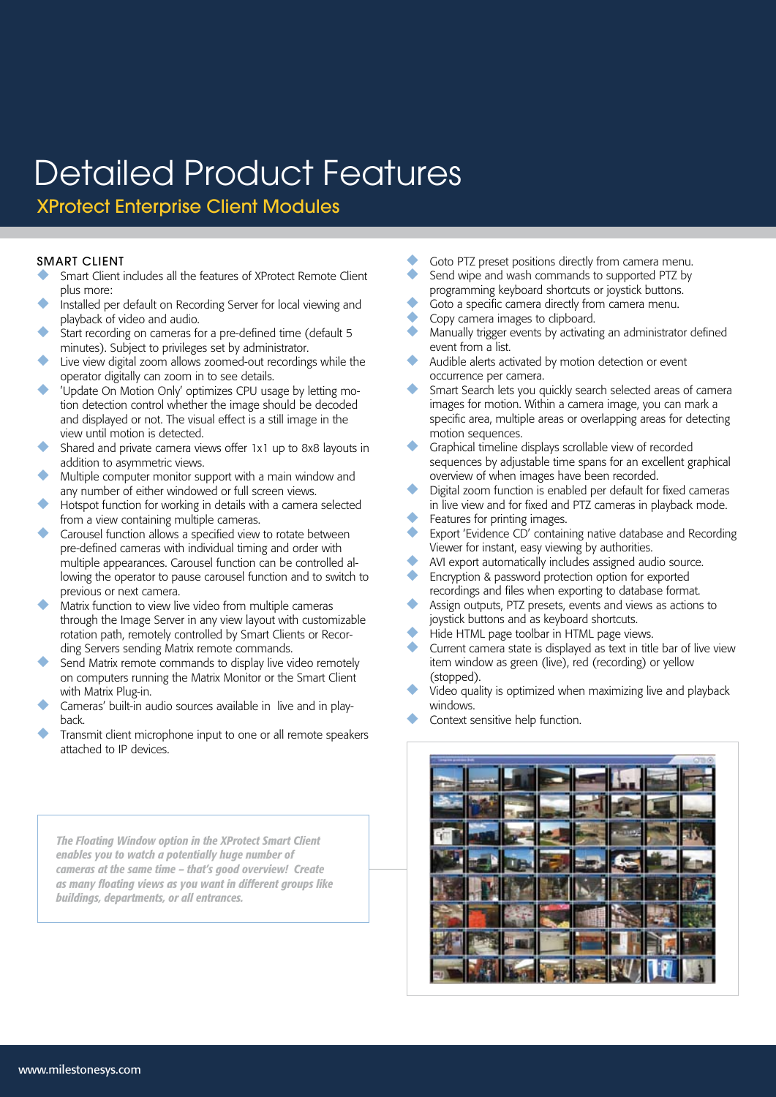XProtect Enterprise Client Modules

### SMART CLIENT

- Smart Client includes all the features of XProtect Remote Client plus more:
- Installed per default on Recording Server for local viewing and playback of video and audio.
- Start recording on cameras for a pre-defined time (default 5 minutes). Subject to privileges set by administrator.
- Live view digital zoom allows zoomed-out recordings while the operator digitally can zoom in to see details.
- 'Update On Motion Only' optimizes CPU usage by letting motion detection control whether the image should be decoded and displayed or not. The visual effect is a still image in the view until motion is detected.
- Shared and private camera views offer 1x1 up to 8x8 layouts in addition to asymmetric views.
- Multiple computer monitor support with a main window and any number of either windowed or full screen views.
- Hotspot function for working in details with a camera selected from a view containing multiple cameras.
- Carousel function allows a specified view to rotate between pre-defined cameras with individual timing and order with multiple appearances. Carousel function can be controlled allowing the operator to pause carousel function and to switch to previous or next camera.
- Matrix function to view live video from multiple cameras through the Image Server in any view layout with customizable rotation path, remotely controlled by Smart Clients or Recording Servers sending Matrix remote commands.
- Send Matrix remote commands to display live video remotely on computers running the Matrix Monitor or the Smart Client with Matrix Plug-in.
- Cameras' built-in audio sources available in live and in playback.
- Transmit client microphone input to one or all remote speakers attached to IP devices.

*The Floating Window option in the XProtect Smart Client enables you to watch a potentially huge number of cameras at the same time – that's good overview! Create as many floating views as you want in different groups like buildings, departments, or all entrances.*

- Goto PTZ preset positions directly from camera menu. Send wipe and wash commands to supported PTZ by
- programming keyboard shortcuts or joystick buttons.
- Goto a specific camera directly from camera menu.
- Copy camera images to clipboard.
- Manually trigger events by activating an administrator defined event from a list.
- Audible alerts activated by motion detection or event occurrence per camera.
- Smart Search lets you quickly search selected areas of camera images for motion. Within a camera image, you can mark a specific area, multiple areas or overlapping areas for detecting motion sequences.
- Graphical timeline displays scrollable view of recorded sequences by adjustable time spans for an excellent graphical overview of when images have been recorded.
- Digital zoom function is enabled per default for fixed cameras in live view and for fixed and PTZ cameras in playback mode.
- Features for printing images.
- Export 'Evidence CD' containing native database and Recording Viewer for instant, easy viewing by authorities.
- AVI export automatically includes assigned audio source.
- Encryption & password protection option for exported recordings and files when exporting to database format.
- Assign outputs, PTZ presets, events and views as actions to joystick buttons and as keyboard shortcuts.
- Hide HTML page toolbar in HTML page views.
- Current camera state is displayed as text in title bar of live view item window as green (live), red (recording) or yellow (stopped).
- Video quality is optimized when maximizing live and playback windows.
- Context sensitive help function.

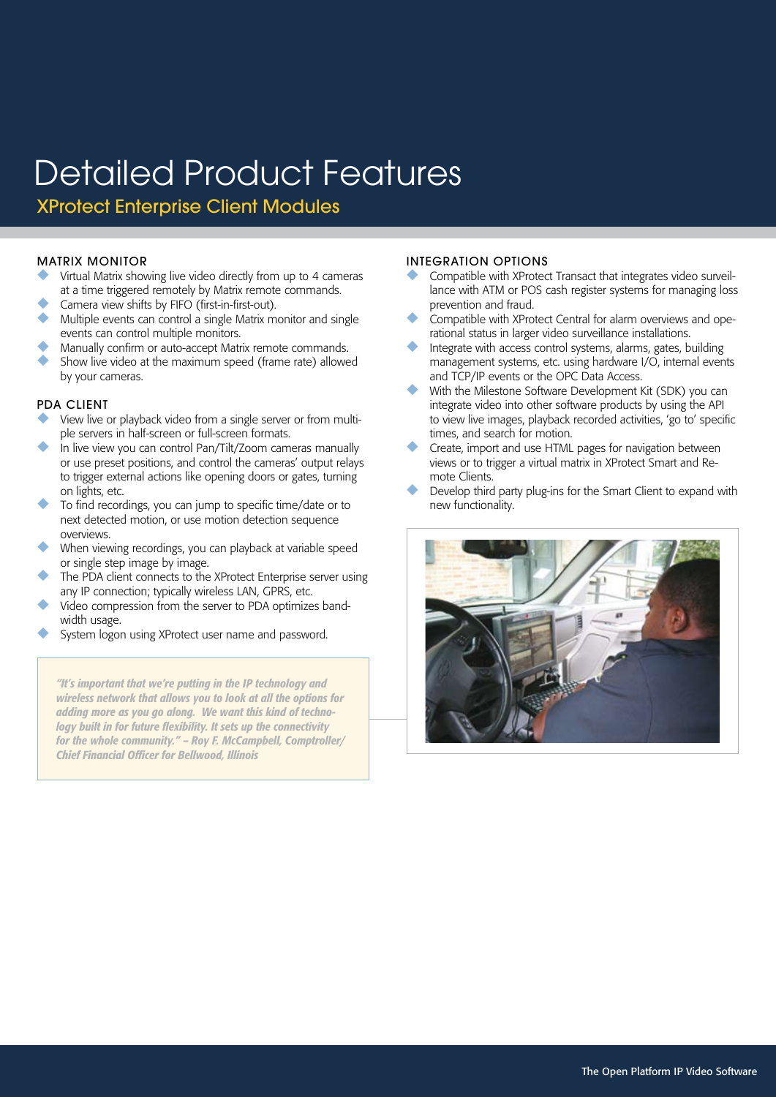XProtect Enterprise Client Modules

### MATRIX MONITOR

- Virtual Matrix showing live video directly from up to 4 cameras at a time triggered remotely by Matrix remote commands.
- Camera view shifts by FIFO (first-in-first-out).
- Multiple events can control a single Matrix monitor and single events can control multiple monitors.
- Manually confirm or auto-accept Matrix remote commands.
- Show live video at the maximum speed (frame rate) allowed by your cameras.

#### PDA CLIENT

- View live or playback video from a single server or from multiple servers in half-screen or full-screen formats.
- In live view you can control Pan/Tilt/Zoom cameras manually or use preset positions, and control the cameras' output relays to trigger external actions like opening doors or gates, turning on lights, etc.
- To find recordings, you can jump to specific time/date or to next detected motion, or use motion detection sequence overviews.
- When viewing recordings, you can playback at variable speed or single step image by image.
- The PDA client connects to the XProtect Enterprise server using any IP connection; typically wireless LAN, GPRS, etc.
- Video compression from the server to PDA optimizes bandwidth usage.
- System logon using XProtect user name and password.

*"It's important that we're putting in the IP technology and wireless network that allows you to look at all the options for adding more as you go along. We want this kind of technology built in for future flexibility. It sets up the connectivity for the whole community." – Roy F. McCampbell, Comptroller/ Chief Financial Officer for Bellwood, Illinois*

#### INTEGRATION OPTIONS

- Compatible with XProtect Transact that integrates video surveillance with ATM or POS cash register systems for managing loss prevention and fraud.
- Compatible with XProtect Central for alarm overviews and operational status in larger video surveillance installations.
- Integrate with access control systems, alarms, gates, building management systems, etc. using hardware I/O, internal events and TCP/IP events or the OPC Data Access.
- With the Milestone Software Development Kit (SDK) you can integrate video into other software products by using the API to view live images, playback recorded activities, 'go to' specific times, and search for motion.
- Create, import and use HTML pages for navigation between views or to trigger a virtual matrix in XProtect Smart and Remote Clients.
- Develop third party plug-ins for the Smart Client to expand with new functionality.